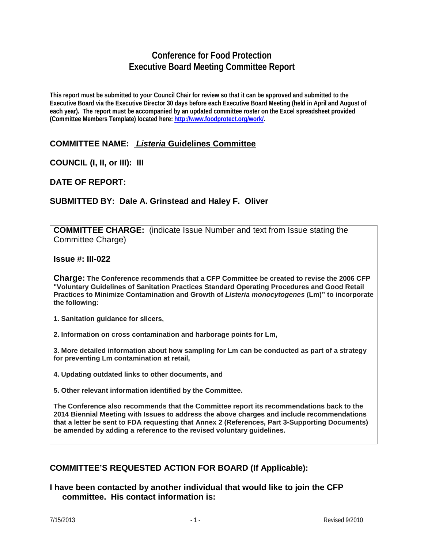# **Conference for Food Protection Executive Board Meeting Committee Report**

**This report must be submitted to your Council Chair for review so that it can be approved and submitted to the Executive Board via the Executive Director 30 days before each Executive Board Meeting (held in April and August of each year). The report must be accompanied by an updated committee roster on the Excel spreadsheet provided (Committee Members Template) located here: [http://www.foodprotect.org/work/.](http://www.foodprotect.org/work/)**

## **COMMITTEE NAME:** *Listeria* **Guidelines Committee**

**COUNCIL (I, II, or III): III**

**DATE OF REPORT:**

### **SUBMITTED BY: Dale A. Grinstead and Haley F. Oliver**

**COMMITTEE CHARGE:** (indicate Issue Number and text from Issue stating the Committee Charge)

**Issue #: III-022**

**Charge: The Conference recommends that a CFP Committee be created to revise the 2006 CFP "Voluntary Guidelines of Sanitation Practices Standard Operating Procedures and Good Retail Practices to Minimize Contamination and Growth of** *Listeria monocytogenes* **(Lm)" to incorporate the following:**

**1. Sanitation guidance for slicers,**

**2. Information on cross contamination and harborage points for Lm,**

**3. More detailed information about how sampling for Lm can be conducted as part of a strategy for preventing Lm contamination at retail,**

**4. Updating outdated links to other documents, and**

**5. Other relevant information identified by the Committee.**

**The Conference also recommends that the Committee report its recommendations back to the 2014 Biennial Meeting with Issues to address the above charges and include recommendations that a letter be sent to FDA requesting that Annex 2 (References, Part 3-Supporting Documents) be amended by adding a reference to the revised voluntary guidelines.**

### **COMMITTEE'S REQUESTED ACTION FOR BOARD (If Applicable):**

**I have been contacted by another individual that would like to join the CFP committee. His contact information is:**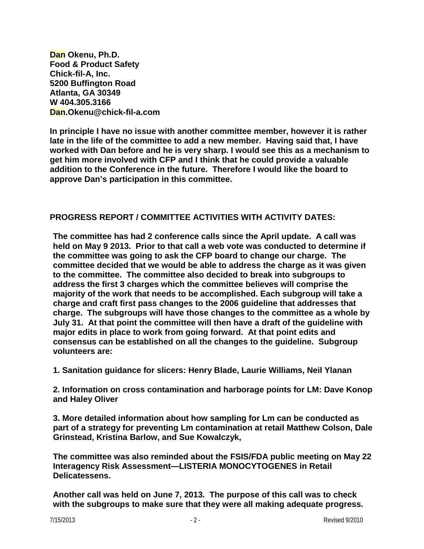**Dan Okenu, Ph.D. Food & Product Safety Chick-fil-A, Inc. 5200 Buffington Road Atlanta, GA 30349 W 404.305.3166 Dan.Okenu@chick-fil-a.com**

**In principle I have no issue with another committee member, however it is rather late in the life of the committee to add a new member. Having said that, I have worked with Dan before and he is very sharp. I would see this as a mechanism to get him more involved with CFP and I think that he could provide a valuable addition to the Conference in the future. Therefore I would like the board to approve Dan's participation in this committee.**

### **PROGRESS REPORT / COMMITTEE ACTIVITIES WITH ACTIVITY DATES:**

**The committee has had 2 conference calls since the April update. A call was held on May 9 2013. Prior to that call a web vote was conducted to determine if the committee was going to ask the CFP board to change our charge. The committee decided that we would be able to address the charge as it was given to the committee. The committee also decided to break into subgroups to address the first 3 charges which the committee believes will comprise the majority of the work that needs to be accomplished. Each subgroup will take a charge and craft first pass changes to the 2006 guideline that addresses that charge. The subgroups will have those changes to the committee as a whole by July 31. At that point the committee will then have a draft of the guideline with major edits in place to work from going forward. At that point edits and consensus can be established on all the changes to the guideline. Subgroup volunteers are:**

**1. Sanitation guidance for slicers: Henry Blade, Laurie Williams, Neil Ylanan**

**2. Information on cross contamination and harborage points for LM: Dave Konop and Haley Oliver**

**3. More detailed information about how sampling for Lm can be conducted as part of a strategy for preventing Lm contamination at retail Matthew Colson, Dale Grinstead, Kristina Barlow, and Sue Kowalczyk,**

**The committee was also reminded about the FSIS/FDA public meeting on May 22 Interagency Risk Assessment—LISTERIA MONOCYTOGENES in Retail Delicatessens.** 

**Another call was held on June 7, 2013. The purpose of this call was to check with the subgroups to make sure that they were all making adequate progress.**